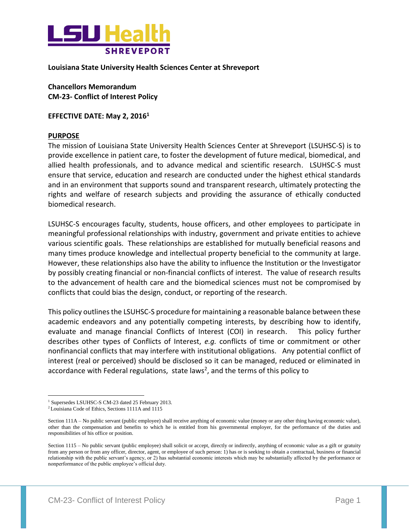

**Louisiana State University Health Sciences Center at Shreveport**

**Chancellors Memorandum CM-23- Conflict of Interest Policy**

**EFFECTIVE DATE: May 2, 2016<sup>1</sup>**

## **PURPOSE**

The mission of Louisiana State University Health Sciences Center at Shreveport (LSUHSC-S) is to provide excellence in patient care, to foster the development of future medical, biomedical, and allied health professionals, and to advance medical and scientific research. LSUHSC-S must ensure that service, education and research are conducted under the highest ethical standards and in an environment that supports sound and transparent research, ultimately protecting the rights and welfare of research subjects and providing the assurance of ethically conducted biomedical research.

LSUHSC-S encourages faculty, students, house officers, and other employees to participate in meaningful professional relationships with industry, government and private entities to achieve various scientific goals. These relationships are established for mutually beneficial reasons and many times produce knowledge and intellectual property beneficial to the community at large. However, these relationships also have the ability to influence the Institution or the Investigator by possibly creating financial or non-financial conflicts of interest. The value of research results to the advancement of health care and the biomedical sciences must not be compromised by conflicts that could bias the design, conduct, or reporting of the research.

This policy outlines the LSUHSC-S procedure for maintaining a reasonable balance between these academic endeavors and any potentially competing interests, by describing how to identify, evaluate and manage financial Conflicts of Interest (COI) in research. This policy further describes other types of Conflicts of Interest, *e.g.* conflicts of time or commitment or other nonfinancial conflicts that may interfere with institutional obligations. Any potential conflict of interest (real or perceived) should be disclosed so it can be managed, reduced or eliminated in accordance with Federal regulations, state laws<sup>2</sup>, and the terms of this policy to

 $\overline{a}$ 

<sup>&</sup>lt;sup>1</sup> Supersedes LSUHSC-S CM-23 dated 25 February 2013.

<sup>2</sup>Louisiana Code of Ethics, Sections 1111A and 1115

Section 111A – No public servant (public employee) shall receive anything of economic value (money or any other thing having economic value), other than the compensation and benefits to which he is entitled from his governmental employer, for the performance of the duties and responsibilities of his office or position.

Section 1115 – No public servant (public employee) shall solicit or accept, directly or indirectly, anything of economic value as a gift or gratuity from any person or from any officer, director, agent, or employee of such person: 1) has or is seeking to obtain a contractual, business or financial relationship with the public servant's agency, or 2) has substantial economic interests which may be substantially affected by the performance or nonperformance of the public employee's official duty.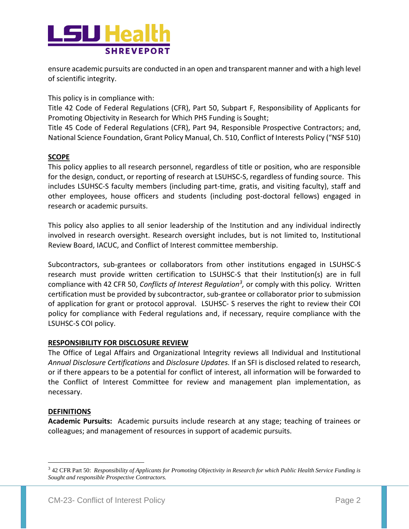

ensure academic pursuits are conducted in an open and transparent manner and with a high level of scientific integrity.

This policy is in compliance with:

Title 42 Code of Federal Regulations (CFR), Part 50, Subpart F, Responsibility of Applicants for Promoting Objectivity in Research for Which PHS Funding is Sought;

Title 45 Code of Federal Regulations (CFR), Part 94, Responsible Prospective Contractors; and, National Science Foundation, Grant Policy Manual, Ch. 510, Conflict of Interests Policy ("NSF 510)

## **SCOPE**

This policy applies to all research personnel, regardless of title or position, who are responsible for the design, conduct, or reporting of research at LSUHSC-S, regardless of funding source. This includes LSUHSC-S faculty members (including part-time, gratis, and visiting faculty), staff and other employees, house officers and students (including post-doctoral fellows) engaged in research or academic pursuits.

This policy also applies to all senior leadership of the Institution and any individual indirectly involved in research oversight. Research oversight includes, but is not limited to, Institutional Review Board, IACUC, and Conflict of Interest committee membership.

Subcontractors, sub-grantees or collaborators from other institutions engaged in LSUHSC-S research must provide written certification to LSUHSC-S that their Institution(s) are in full compliance with 42 CFR 50, *Conflicts of Interest Regulation<sup>3</sup> ,* or comply with this policy*.* Written certification must be provided by subcontractor, sub-grantee or collaborator prior to submission of application for grant or protocol approval. LSUHSC- S reserves the right to review their COI policy for compliance with Federal regulations and, if necessary, require compliance with the LSUHSC-S COI policy.

## **RESPONSIBILITY FOR DISCLOSURE REVIEW**

The Office of Legal Affairs and Organizational Integrity reviews all Individual and Institutional *Annual Disclosure Certifications* and *Disclosure Updates.* If an SFI is disclosed related to research, or if there appears to be a potential for conflict of interest, all information will be forwarded to the Conflict of Interest Committee for review and management plan implementation, as necessary.

### **DEFINITIONS**

 $\overline{a}$ 

**Academic Pursuits:** Academic pursuits include research at any stage; teaching of trainees or colleagues; and management of resources in support of academic pursuits.

<sup>3</sup> 42 CFR Part 50: *Responsibility of Applicants for Promoting Objectivity in Research for which Public Health Service Funding is Sought and responsible Prospective Contractors.*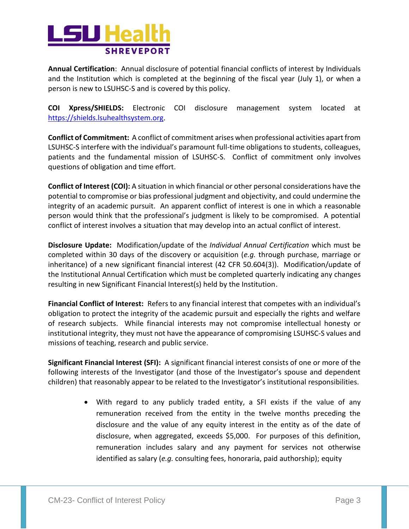

**Annual Certification**: Annual disclosure of potential financial conflicts of interest by Individuals and the Institution which is completed at the beginning of the fiscal year (July 1), or when a person is new to LSUHSC-S and is covered by this policy.

**COI Xpress/SHIELDS:** Electronic COI disclosure management system located at [https://shields.lsuhealthsystem.org](https://shields.lsuhealthsystem.org/).

**Conflict of Commitment:** A conflict of commitment arises when professional activities apart from LSUHSC-S interfere with the individual's paramount full-time obligations to students, colleagues, patients and the fundamental mission of LSUHSC-S. Conflict of commitment only involves questions of obligation and time effort.

**Conflict of Interest (COI):** A situation in which financial or other personal considerations have the potential to compromise or bias professional judgment and objectivity, and could undermine the integrity of an academic pursuit. An apparent conflict of interest is one in which a reasonable person would think that the professional's judgment is likely to be compromised. A potential conflict of interest involves a situation that may develop into an actual conflict of interest.

**Disclosure Update:** Modification/update of the *Individual Annual Certification* which must be completed within 30 days of the discovery or acquisition (*e.g.* through purchase, marriage or inheritance) of a new significant financial interest (42 CFR 50.604(3)). Modification/update of the Institutional Annual Certification which must be completed quarterly indicating any changes resulting in new Significant Financial Interest(s) held by the Institution.

**Financial Conflict of Interest:** Refers to any financial interest that competes with an individual's obligation to protect the integrity of the academic pursuit and especially the rights and welfare of research subjects. While financial interests may not compromise intellectual honesty or institutional integrity, they must not have the appearance of compromising LSUHSC-S values and missions of teaching, research and public service.

**Significant Financial Interest (SFI):** A significant financial interest consists of one or more of the following interests of the Investigator (and those of the Investigator's spouse and dependent children) that reasonably appear to be related to the Investigator's institutional responsibilities.

> With regard to any publicly traded entity, a SFI exists if the value of any remuneration received from the entity in the twelve months preceding the disclosure and the value of any equity interest in the entity as of the date of disclosure, when aggregated, exceeds \$5,000. For purposes of this definition, remuneration includes salary and any payment for services not otherwise identified as salary (*e.g.* consulting fees, honoraria, paid authorship); equity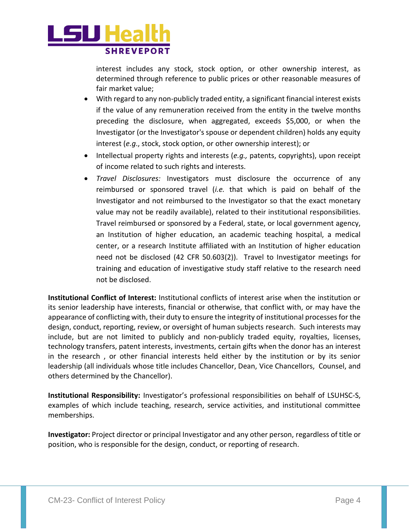

interest includes any stock, stock option, or other ownership interest, as determined through reference to public prices or other reasonable measures of fair market value;

- With regard to any non-publicly traded entity, a significant financial interest exists if the value of any remuneration received from the entity in the twelve months preceding the disclosure, when aggregated, exceeds \$5,000, or when the Investigator (or the Investigator's spouse or dependent children) holds any equity interest (*e.g*., stock, stock option, or other ownership interest); or
- Intellectual property rights and interests (e.g., patents, copyrights), upon receipt of income related to such rights and interests.
- *Travel Disclosures:* Investigators must disclosure the occurrence of any reimbursed or sponsored travel (*i.e.* that which is paid on behalf of the Investigator and not reimbursed to the Investigator so that the exact monetary value may not be readily available), related to their institutional responsibilities. Travel reimbursed or sponsored by a Federal, state, or local government agency, an Institution of higher education, an academic teaching hospital, a medical center, or a research Institute affiliated with an Institution of higher education need not be disclosed (42 CFR 50.603(2)). Travel to Investigator meetings for training and education of investigative study staff relative to the research need not be disclosed.

**Institutional Conflict of Interest:** Institutional conflicts of interest arise when the institution or its senior leadership have interests, financial or otherwise, that conflict with, or may have the appearance of conflicting with, their duty to ensure the integrity of institutional processes for the design, conduct, reporting, review, or oversight of human subjects research. Such interests may include, but are not limited to publicly and non-publicly traded equity, royalties, licenses, technology transfers, patent interests, investments, certain gifts when the donor has an interest in the research , or other financial interests held either by the institution or by its senior leadership (all individuals whose title includes Chancellor, Dean, Vice Chancellors, Counsel, and others determined by the Chancellor).

**Institutional Responsibility:** Investigator's professional responsibilities on behalf of LSUHSC-S, examples of which include teaching, research, service activities, and institutional committee memberships.

**Investigator:** Project director or principal Investigator and any other person, regardless of title or position, who is responsible for the design, conduct, or reporting of research.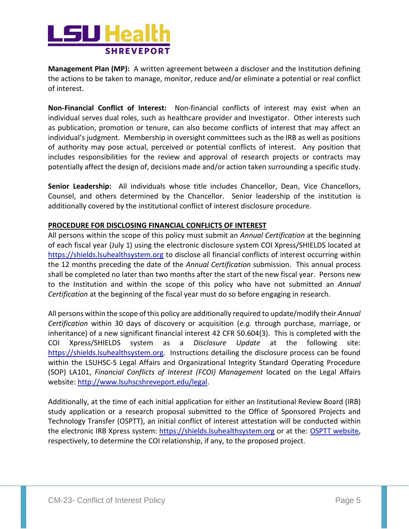

**Management Plan (MP):** A written agreement between a discloser and the Institution defining the actions to be taken to manage, monitor, reduce and/or eliminate a potential or real conflict of interest.

**Non-Financial Conflict of Interest:** Non-financial conflicts of interest may exist when an individual serves dual roles, such as healthcare provider and Investigator. Other interests such as publication, promotion or tenure, can also become conflicts of interest that may affect an individual's judgment. Membership in oversight committees such as the IRB as well as positions of authority may pose actual, perceived or potential conflicts of interest. Any position that includes responsibilities for the review and approval of research projects or contracts may potentially affect the design of, decisions made and/or action taken surrounding a specific study.

**Senior Leadership:** All individuals whose title includes Chancellor, Dean, Vice Chancellors, Counsel, and others determined by the Chancellor. Senior leadership of the institution is additionally covered by the institutional conflict of interest disclosure procedure.

# **PROCEDURE FOR DISCLOSING FINANCIAL CONFLICTS OF INTEREST**

All persons within the scope of this policy must submit an *Annual Certification* at the beginning of each fiscal year (July 1) using the electronic disclosure system COI Xpress/SHIELDS located at [https://shields.lsuhealthsystem.org](https://shields.lsuhealthsystem.org/) to disclose all financial conflicts of interest occurring within the 12 months preceding the date of the *Annual Certification* submission. This annual process shall be completed no later than two months after the start of the new fiscal year. Persons new to the Institution and within the scope of this policy who have not submitted an *Annual Certification* at the beginning of the fiscal year must do so before engaging in research.

All persons within the scope of this policy are additionally required to update/modify their *Annual Certification* within 30 days of discovery or acquisition (*e.g.* through purchase, marriage, or inheritance) of a new significant financial interest 42 CFR 50.604(3). This is completed with the COI Xpress/SHIELDS system as a *Disclosure Update* at the following site: [https://shields.lsuhealthsystem.org.](https://shields.lsuhealthsystem.org/) Instructions detailing the disclosure process can be found within the LSUHSC-S Legal Affairs and Organizational Integrity Standard Operating Procedure (SOP) LA101, *Financial Conflicts of Interest (FCOI) Management* located on the Legal Affairs website: [http://www.lsuhscshreveport.edu/legal.](http://www.lsuhscshreveport.edu/legal)

Additionally, at the time of each initial application for either an Institutional Review Board (IRB) study application or a research proposal submitted to the Office of Sponsored Projects and Technology Transfer (OSPTT), an initial conflict of interest attestation will be conducted within the electronic IRB Xpress system: [https://shields.lsuhealthsystem.org](https://shields.lsuhealthsystem.org/) or at the: [OSPTT website,](http://myhsc.lsuhscshreveport.edu/Research/OfficeforSponsoredProgramsandTechnologyTransfer.aspx) respectively, to determine the COI relationship, if any, to the proposed project.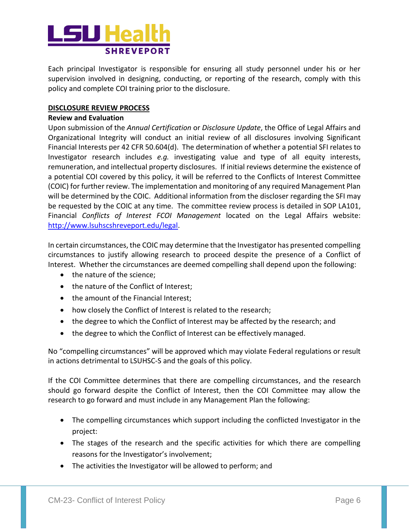

Each principal Investigator is responsible for ensuring all study personnel under his or her supervision involved in designing, conducting, or reporting of the research, comply with this policy and complete COI training prior to the disclosure.

## **DISCLOSURE REVIEW PROCESS**

### **Review and Evaluation**

Upon submission of the *Annual Certification* or *Disclosure Update*, the Office of Legal Affairs and Organizational Integrity will conduct an initial review of all disclosures involving Significant Financial Interests per 42 CFR 50.604(d). The determination of whether a potential SFI relates to Investigator research includes *e.g.* investigating value and type of all equity interests, remuneration, and intellectual property disclosures. If initial reviews determine the existence of a potential COI covered by this policy, it will be referred to the Conflicts of Interest Committee (COIC) for further review. The implementation and monitoring of any required Management Plan will be determined by the COIC. Additional information from the discloser regarding the SFI may be requested by the COIC at any time. The committee review process is detailed in SOP LA101, Financial *Conflicts of Interest FCOI Management* located on the Legal Affairs website: [http://www.lsuhscshreveport.edu/legal.](http://www.lsuhscshreveport.edu/legal)

In certain circumstances, the COIC may determine that the Investigator has presented compelling circumstances to justify allowing research to proceed despite the presence of a Conflict of Interest. Whether the circumstances are deemed compelling shall depend upon the following:

- the nature of the science;
- the nature of the Conflict of Interest;
- the amount of the Financial Interest;
- how closely the Conflict of Interest is related to the research;
- the degree to which the Conflict of Interest may be affected by the research; and
- the degree to which the Conflict of Interest can be effectively managed.

No "compelling circumstances" will be approved which may violate Federal regulations or result in actions detrimental to LSUHSC-S and the goals of this policy.

If the COI Committee determines that there are compelling circumstances, and the research should go forward despite the Conflict of Interest, then the COI Committee may allow the research to go forward and must include in any Management Plan the following:

- The compelling circumstances which support including the conflicted Investigator in the project:
- The stages of the research and the specific activities for which there are compelling reasons for the Investigator's involvement;
- The activities the Investigator will be allowed to perform; and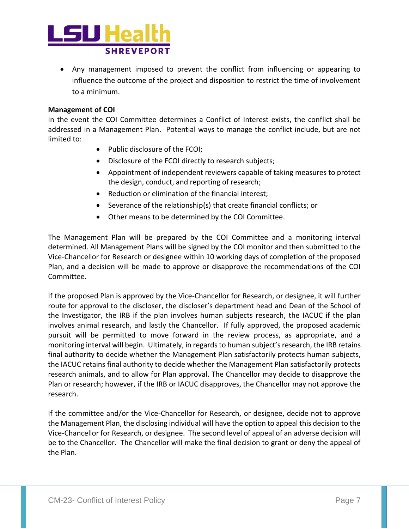

 Any management imposed to prevent the conflict from influencing or appearing to influence the outcome of the project and disposition to restrict the time of involvement to a minimum.

## **Management of COI**

In the event the COI Committee determines a Conflict of Interest exists, the conflict shall be addressed in a Management Plan. Potential ways to manage the conflict include, but are not limited to:

- Public disclosure of the FCOI;
- Disclosure of the FCOI directly to research subjects;
- Appointment of independent reviewers capable of taking measures to protect the design, conduct, and reporting of research;
- Reduction or elimination of the financial interest;
- Severance of the relationship(s) that create financial conflicts; or
- Other means to be determined by the COI Committee.

The Management Plan will be prepared by the COI Committee and a monitoring interval determined. All Management Plans will be signed by the COI monitor and then submitted to the Vice-Chancellor for Research or designee within 10 working days of completion of the proposed Plan, and a decision will be made to approve or disapprove the recommendations of the COI Committee.

If the proposed Plan is approved by the Vice-Chancellor for Research, or designee, it will further route for approval to the discloser, the discloser's department head and Dean of the School of the Investigator, the IRB if the plan involves human subjects research, the IACUC if the plan involves animal research, and lastly the Chancellor. If fully approved, the proposed academic pursuit will be permitted to move forward in the review process, as appropriate, and a monitoring interval will begin. Ultimately, in regards to human subject's research, the IRB retains final authority to decide whether the Management Plan satisfactorily protects human subjects, the IACUC retains final authority to decide whether the Management Plan satisfactorily protects research animals, and to allow for Plan approval. The Chancellor may decide to disapprove the Plan or research; however, if the IRB or IACUC disapproves, the Chancellor may not approve the research.

If the committee and/or the Vice-Chancellor for Research, or designee, decide not to approve the Management Plan, the disclosing individual will have the option to appeal this decision to the Vice-Chancellor for Research, or designee. The second level of appeal of an adverse decision will be to the Chancellor. The Chancellor will make the final decision to grant or deny the appeal of the Plan.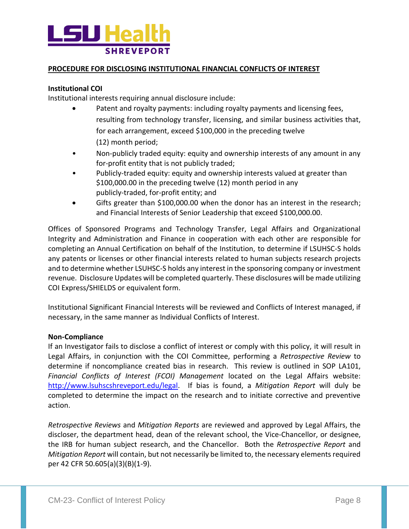

## **PROCEDURE FOR DISCLOSING INSTITUTIONAL FINANCIAL CONFLICTS OF INTEREST**

### **Institutional COI**

Institutional interests requiring annual disclosure include:

- Patent and royalty payments: including royalty payments and licensing fees, resulting from technology transfer, licensing, and similar business activities that, for each arrangement, exceed \$100,000 in the preceding twelve (12) month period;
- Non-publicly traded equity: equity and ownership interests of any amount in any for-profit entity that is not publicly traded;
- Publicly-traded equity: equity and ownership interests valued at greater than \$100,000.00 in the preceding twelve (12) month period in any publicly-traded, for-profit entity; and
- Gifts greater than \$100,000.00 when the donor has an interest in the research; and Financial Interests of Senior Leadership that exceed \$100,000.00.

Offices of Sponsored Programs and Technology Transfer, Legal Affairs and Organizational Integrity and Administration and Finance in cooperation with each other are responsible for completing an Annual Certification on behalf of the Institution, to determine if LSUHSC-S holds any patents or licenses or other financial interests related to human subjects research projects and to determine whether LSUHSC-S holds any interest in the sponsoring company or investment revenue. Disclosure Updates will be completed quarterly. These disclosures will be made utilizing COI Express/SHIELDS or equivalent form.

Institutional Significant Financial Interests will be reviewed and Conflicts of Interest managed, if necessary, in the same manner as Individual Conflicts of Interest.

### **Non-Compliance**

If an Investigator fails to disclose a conflict of interest or comply with this policy, it will result in Legal Affairs, in conjunction with the COI Committee, performing a *Retrospective Review* to determine if noncompliance created bias in research. This review is outlined in SOP LA101, *Financial Conflicts of Interest (FCOI) Management* located on the Legal Affairs website: [http://www.lsuhscshreveport.edu/legal.](http://www.lsuhscshreveport.edu/legal) If bias is found, a *Mitigation Report* will duly be completed to determine the impact on the research and to initiate corrective and preventive action.

*Retrospective Reviews* and *Mitigation Reports* are reviewed and approved by Legal Affairs, the discloser, the department head, dean of the relevant school, the Vice-Chancellor, or designee, the IRB for human subject research, and the Chancellor. Both the *Retrospective Report* and *Mitigation Report* will contain, but not necessarily be limited to, the necessary elements required per 42 CFR 50.605(a)(3)(B)(1-9).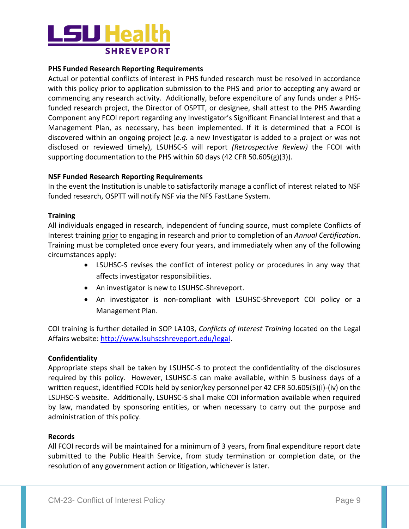

## **PHS Funded Research Reporting Requirements**

Actual or potential conflicts of interest in PHS funded research must be resolved in accordance with this policy prior to application submission to the PHS and prior to accepting any award or commencing any research activity. Additionally, before expenditure of any funds under a PHSfunded research project, the Director of OSPTT, or designee, shall attest to the PHS Awarding Component any FCOI report regarding any Investigator's Significant Financial Interest and that a Management Plan, as necessary, has been implemented. If it is determined that a FCOI is discovered within an ongoing project (*e.g.* a new Investigator is added to a project or was not disclosed or reviewed timely), LSUHSC-S will report *(Retrospective Review)* the FCOI with supporting documentation to the PHS within 60 days (42 CFR 50.605(g)(3)).

### **NSF Funded Research Reporting Requirements**

In the event the Institution is unable to satisfactorily manage a conflict of interest related to NSF funded research, OSPTT will notify NSF via the NFS FastLane System.

### **Training**

All individuals engaged in research, independent of funding source, must complete Conflicts of Interest training prior to engaging in research and prior to completion of an *Annual Certification*. Training must be completed once every four years, and immediately when any of the following circumstances apply:

- LSUHSC-S revises the conflict of interest policy or procedures in any way that affects investigator responsibilities.
- An investigator is new to LSUHSC-Shreveport.
- An investigator is non-compliant with LSUHSC-Shreveport COI policy or a Management Plan.

COI training is further detailed in SOP LA103, *Conflicts of Interest Training* located on the Legal Affairs website: [http://www.lsuhscshreveport.edu/legal.](http://www.lsuhscshreveport.edu/legal)

### **Confidentiality**

Appropriate steps shall be taken by LSUHSC-S to protect the confidentiality of the disclosures required by this policy. However, LSUHSC-S can make available, within 5 business days of a written request, identified FCOIs held by senior/key personnel per 42 CFR 50.605(5)(i)-(iv) on the LSUHSC-S website. Additionally, LSUHSC-S shall make COI information available when required by law, mandated by sponsoring entities, or when necessary to carry out the purpose and administration of this policy.

### **Records**

All FCOI records will be maintained for a minimum of 3 years, from final expenditure report date submitted to the Public Health Service, from study termination or completion date, or the resolution of any government action or litigation, whichever is later.